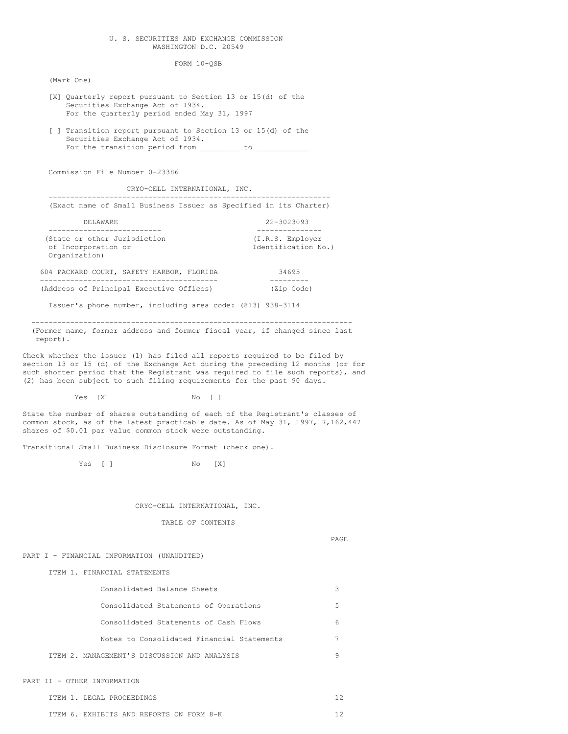### U. S. SECURITIES AND EXCHANGE COMMISSION WASHINGTON D.C. 20549

FORM 10-QSB

(Mark One)

- [X] Quarterly report pursuant to Section 13 or 15(d) of the Securities Exchange Act of 1934. For the quarterly period ended May 31, 1997
- [ ] Transition report pursuant to Section 13 or 15(d) of the Securities Exchange Act of 1934. For the transition period from \_\_\_\_\_\_\_\_\_ to \_\_\_\_\_\_\_\_\_\_\_\_

Commission File Number 0-23386

CRYO-CELL INTERNATIONAL, INC.

(Exact name of Small Business Issuer as Specified in its Charter)

-----------------------------------------------------------------

| DELAWARE.                    | 22-3023093          |  |  |  |
|------------------------------|---------------------|--|--|--|
|                              |                     |  |  |  |
| (State or other Jurisdiction | (I.R.S. Employer    |  |  |  |
| of Incorporation or          | Identification No.) |  |  |  |
| Organization)                |                     |  |  |  |

|  |                                          |  | 604 PACKARD COURT, SAFETY HARBOR, FLORIDA | 34695 |            |
|--|------------------------------------------|--|-------------------------------------------|-------|------------|
|  |                                          |  |                                           |       |            |
|  | (Address of Principal Executive Offices) |  |                                           |       | (Zip Code) |

Issuer's phone number, including area code: (813) 938-3114

-------------------------------------------------------------------------- (Former name, former address and former fiscal year, if changed since last report).

Check whether the issuer (1) has filed all reports required to be filed by section 13 or 15 (d) of the Exchange Act during the preceding 12 months (or for such shorter period that the Registrant was required to file such reports), and (2) has been subject to such filing requirements for the past 90 days.

Yes [X] No [ ]

State the number of shares outstanding of each of the Registrant's classes of common stock, as of the latest practicable date. As of May 31, 1997, 7,162,447 shares of \$0.01 par value common stock were outstanding.

Transitional Small Business Disclosure Format (check one).

Yes [ ] No  $[X]$ 

CRYO-CELL INTERNATIONAL, INC.

TABLE OF CONTENTS

PAGE

PART I - FINANCIAL INFORMATION (UNAUDITED)

ITEM 1. FINANCIAL STATEMENTS

| Consolidated Balance Sheets                  |   |
|----------------------------------------------|---|
| Consolidated Statements of Operations        | 5 |
| Consolidated Statements of Cash Flows        | 6 |
| Notes to Consolidated Financial Statements   |   |
| ITEM 2. MANAGEMENT'S DISCUSSION AND ANALYSIS |   |

PART II - OTHER INFORMATION

|  | ITEM 1. LEGAL PROCEEDINGS |  |
|--|---------------------------|--|
|  |                           |  |

ITEM 6. EXHIBITS AND REPORTS ON FORM 8-K 12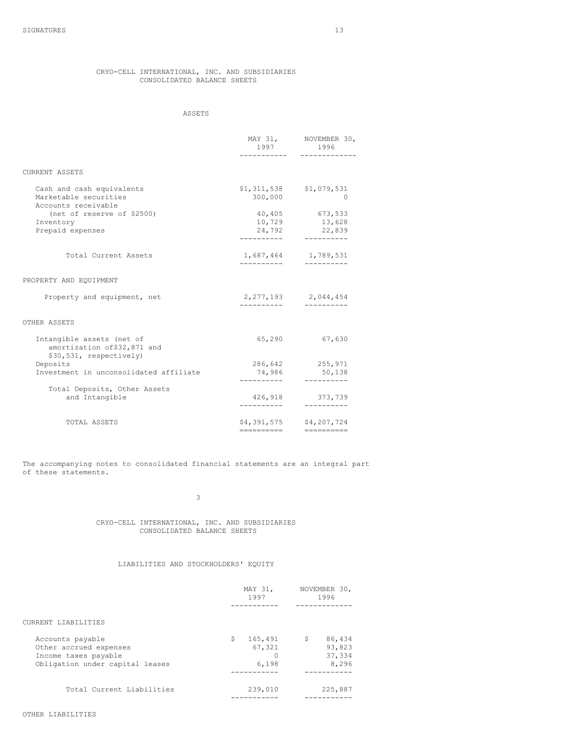# CRYO-CELL INTERNATIONAL, INC. AND SUBSIDIARIES CONSOLIDATED BALANCE SHEETS

# ASSETS

|                                                                                      | 1997                  | MAY 31, NOVEMBER 30,<br>1996<br>----------- |
|--------------------------------------------------------------------------------------|-----------------------|---------------------------------------------|
|                                                                                      |                       |                                             |
| CURRENT ASSETS                                                                       |                       |                                             |
| Cash and cash equivalents                                                            |                       | $$1,311,538$ $$1,079,531$                   |
| Marketable securities<br>Accounts receivable                                         | 300,000               | 0                                           |
| (net of reserve of \$2500)                                                           |                       | 40,405 673,533                              |
| Inventory                                                                            | 10,729                | 13,628                                      |
| Prepaid expenses                                                                     | 24,792<br>----------- | 22,839<br>-----------                       |
| Total Current Assets                                                                 | -----------           | 1,687,464 1,789,531                         |
| PROPERTY AND EQUIPMENT                                                               |                       |                                             |
| Property and equipment, net                                                          | ----------            | 2, 277, 193 2, 044, 454<br>-----------      |
| OTHER ASSETS                                                                         |                       |                                             |
| Intangible assets (net of<br>amortization of \$32,871 and<br>\$30,531, respectively) | 65,290                | 67,630                                      |
| Deposits                                                                             |                       | 286,642 255,971                             |
| Investment in unconsolidated affiliate                                               | -----------           | 74,986 50,138<br>-----------                |
| Total Deposits, Other Assets                                                         |                       |                                             |
| and Intangible                                                                       | -----------           | 426,918 373,739<br>----------               |
| TOTAL ASSETS                                                                         |                       | \$4,391,575 \$4,207,724                     |
|                                                                                      | ----------            | -----------                                 |

The accompanying notes to consolidated financial statements are an integral part of these statements.

3

CRYO-CELL INTERNATIONAL, INC. AND SUBSIDIARIES CONSOLIDATED BALANCE SHEETS

# LIABILITIES AND STOCKHOLDERS' EQUITY

|                                                                                                       | MAY 31,<br>1997                  | NOVEMBER 30,<br>1996                      |
|-------------------------------------------------------------------------------------------------------|----------------------------------|-------------------------------------------|
|                                                                                                       |                                  |                                           |
| CURRENT LIABILITIES                                                                                   |                                  |                                           |
| Accounts payable<br>Other accrued expenses<br>Income taxes payable<br>Obligation under capital leases | Ŝ.<br>165,491<br>67,321<br>6,198 | 86,434<br>\$<br>93,823<br>37,334<br>8,296 |
| Total Current Liabilities                                                                             | 239,010                          | 225,887                                   |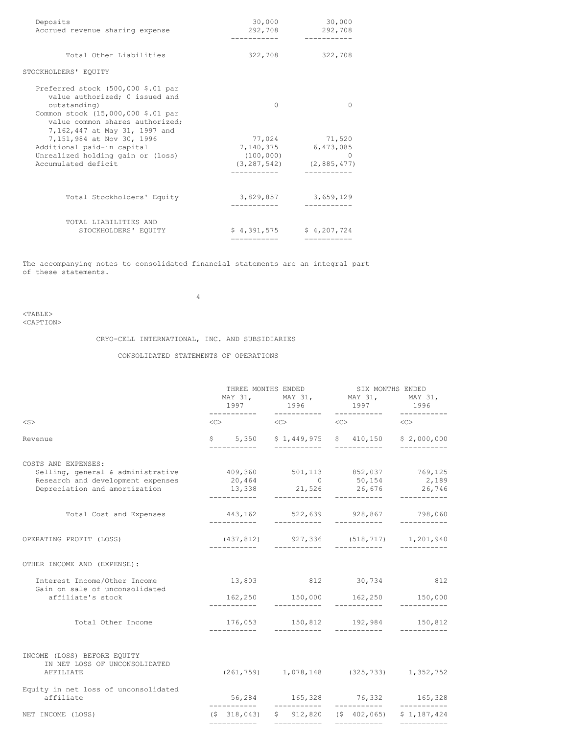| Deposits<br>Accrued revenue sharing expense                                                                                                                                                    | 30,000<br>292,708          | 30,000<br>292,708<br>--------                                             |
|------------------------------------------------------------------------------------------------------------------------------------------------------------------------------------------------|----------------------------|---------------------------------------------------------------------------|
| Total Other Liabilities                                                                                                                                                                        | 322,708                    | 322,708                                                                   |
| STOCKHOLDERS' EQUITY                                                                                                                                                                           |                            |                                                                           |
| Preferred stock (500,000 \$.01 par<br>value authorized; 0 issued and<br>outstanding)<br>Common stock (15,000,000 \$.01 par<br>value common shares authorized;<br>7,162,447 at May 31, 1997 and | <sup>0</sup>               | O                                                                         |
| 7,151,984 at Nov 30, 1996<br>Additional paid-in capital<br>Unrealized holding gain or (loss)<br>Accumulated deficit                                                                            | 7,140,375<br>(100, 000)    | 77,024 71,520<br>6,473,085<br>$\Omega$<br>$(3, 287, 542)$ $(2, 885, 477)$ |
| Total Stockholders' Equity                                                                                                                                                                     | 3,829,857                  | 3,659,129                                                                 |
| TOTAL LIABILITIES AND<br>STOCKHOLDERS' EQUITY                                                                                                                                                  | \$4.391.575<br>----------- | \$4.207.724<br>-----------                                                |

The accompanying notes to consolidated financial statements are an integral part of these statements.

4

<TABLE> <CAPTION>

CRYO-CELL INTERNATIONAL, INC. AND SUBSIDIARIES

# CONSOLIDATED STATEMENTS OF OPERATIONS

| $<$ S $>$<br>$\langle C \rangle$<br>$\langle C \rangle$ $\langle C \rangle$<br>$\langle C \rangle$<br>$$5,350$ $$1,449,975$ $$410,150$ $$2,000,000$<br>Revenue<br>------------<br>------------<br>------------<br>COSTS AND EXPENSES:<br>409,360 501,113 852,037 769,125<br>Selling, general & administrative<br>Research and development expenses<br>20,464<br>50, 154 2, 189<br>Depreciation and amortization<br>Total Cost and Expenses<br>443,162 522,639 928,867 798,060<br>___________<br>$(437, 812)$ 927, 336 (518, 717) 1, 201, 940<br>OPERATING PROFIT (LOSS)<br>-----------<br>OTHER INCOME AND (EXPENSE):<br>13,803 812 30,734<br>Interest Income/Other Income<br>Gain on sale of unconsolidated<br>162,250 150,000 162,250 150,000<br>affiliate's stock<br>------------<br>Total Other Income<br>$176,053$ $150,812$ $192,984$ $150,812$<br>___________<br>___________<br>INCOME (LOSS) BEFORE EQUITY<br>IN NET LOSS OF UNCONSOLIDATED<br>$(261, 759)$ 1, 078, 148 (325, 733) 1, 352, 752<br>AFFILIATE<br>Equity in net loss of unconsolidated<br>56,284 165,328 76,332 165,328<br>affiliate<br>$(5, 318, 043)$ $5, 912, 820$ $(5, 402, 065)$ $5, 1, 187, 424$<br>NET INCOME (LOSS) | 1997        | THREE MONTHS ENDED<br>MAY 31, MAY 31, MAY 31, MAY 31,<br>1996 | SIX MONTHS ENDED<br>1997 | 1996        |  |
|--------------------------------------------------------------------------------------------------------------------------------------------------------------------------------------------------------------------------------------------------------------------------------------------------------------------------------------------------------------------------------------------------------------------------------------------------------------------------------------------------------------------------------------------------------------------------------------------------------------------------------------------------------------------------------------------------------------------------------------------------------------------------------------------------------------------------------------------------------------------------------------------------------------------------------------------------------------------------------------------------------------------------------------------------------------------------------------------------------------------------------------------------------------------------------------------------|-------------|---------------------------------------------------------------|--------------------------|-------------|--|
|                                                                                                                                                                                                                                                                                                                                                                                                                                                                                                                                                                                                                                                                                                                                                                                                                                                                                                                                                                                                                                                                                                                                                                                                  |             |                                                               |                          |             |  |
|                                                                                                                                                                                                                                                                                                                                                                                                                                                                                                                                                                                                                                                                                                                                                                                                                                                                                                                                                                                                                                                                                                                                                                                                  |             |                                                               |                          | ----------- |  |
|                                                                                                                                                                                                                                                                                                                                                                                                                                                                                                                                                                                                                                                                                                                                                                                                                                                                                                                                                                                                                                                                                                                                                                                                  |             |                                                               |                          |             |  |
|                                                                                                                                                                                                                                                                                                                                                                                                                                                                                                                                                                                                                                                                                                                                                                                                                                                                                                                                                                                                                                                                                                                                                                                                  |             |                                                               |                          |             |  |
|                                                                                                                                                                                                                                                                                                                                                                                                                                                                                                                                                                                                                                                                                                                                                                                                                                                                                                                                                                                                                                                                                                                                                                                                  |             |                                                               |                          | ___________ |  |
|                                                                                                                                                                                                                                                                                                                                                                                                                                                                                                                                                                                                                                                                                                                                                                                                                                                                                                                                                                                                                                                                                                                                                                                                  |             |                                                               |                          |             |  |
|                                                                                                                                                                                                                                                                                                                                                                                                                                                                                                                                                                                                                                                                                                                                                                                                                                                                                                                                                                                                                                                                                                                                                                                                  |             |                                                               |                          | 812         |  |
|                                                                                                                                                                                                                                                                                                                                                                                                                                                                                                                                                                                                                                                                                                                                                                                                                                                                                                                                                                                                                                                                                                                                                                                                  |             |                                                               |                          |             |  |
|                                                                                                                                                                                                                                                                                                                                                                                                                                                                                                                                                                                                                                                                                                                                                                                                                                                                                                                                                                                                                                                                                                                                                                                                  |             |                                                               |                          | ----------- |  |
|                                                                                                                                                                                                                                                                                                                                                                                                                                                                                                                                                                                                                                                                                                                                                                                                                                                                                                                                                                                                                                                                                                                                                                                                  |             |                                                               |                          |             |  |
|                                                                                                                                                                                                                                                                                                                                                                                                                                                                                                                                                                                                                                                                                                                                                                                                                                                                                                                                                                                                                                                                                                                                                                                                  |             |                                                               |                          |             |  |
|                                                                                                                                                                                                                                                                                                                                                                                                                                                                                                                                                                                                                                                                                                                                                                                                                                                                                                                                                                                                                                                                                                                                                                                                  | =========== | ===========                                                   | ===========              | =========== |  |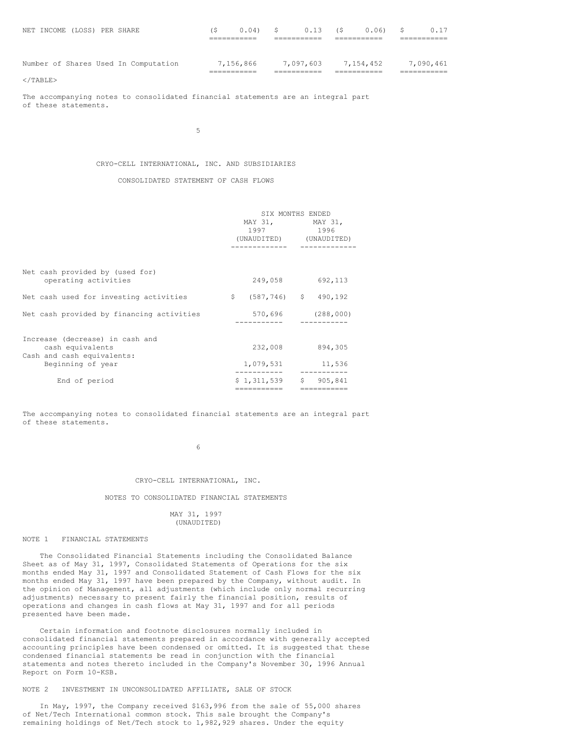|  | NET INCOME (LOSS) PER SHARE |                                      | (S        | $0.04$ ) \$ | 0.13      | (\$       | $0.06$ ) \$ |           | 0.17 |
|--|-----------------------------|--------------------------------------|-----------|-------------|-----------|-----------|-------------|-----------|------|
|  |                             |                                      |           |             |           |           |             |           |      |
|  |                             |                                      |           |             |           |           |             |           |      |
|  |                             | Number of Shares Used In Computation | 7,156,866 |             | 7,097,603 | 7.154.452 |             | 7.090.461 |      |
|  |                             |                                      |           |             |           |           |             |           |      |

 $<$ /TABLE>

The accompanying notes to consolidated financial statements are an integral part of these statements.

5

# CRYO-CELL INTERNATIONAL, INC. AND SUBSIDIARIES

# CONSOLIDATED STATEMENT OF CASH FLOWS

|                                           | SIX MONTHS ENDED |                         |                         |             |  |
|-------------------------------------------|------------------|-------------------------|-------------------------|-------------|--|
|                                           |                  |                         | MAY 31, MAY 31,         |             |  |
|                                           |                  | 1997 1996               |                         |             |  |
|                                           |                  |                         | (UNAUDITED) (UNAUDITED) |             |  |
|                                           |                  |                         |                         |             |  |
| Net cash provided by (used for)           |                  |                         |                         |             |  |
| operating activities                      |                  | 249,058                 |                         | 692,113     |  |
| Net cash used for investing activities    | $\mathsf{S}$     | $(587, 746)$ \$ 490,192 |                         |             |  |
| Net cash provided by financing activities |                  | 570,696                 |                         | (288, 000)  |  |
|                                           |                  |                         |                         |             |  |
| Increase (decrease) in cash and           |                  |                         |                         |             |  |
| cash equivalents                          |                  | 232,008                 |                         | 894,305     |  |
| Cash and cash equivalents:                |                  |                         |                         |             |  |
| Beginning of year                         |                  | 1,079,531               |                         | 11,536      |  |
| End of period                             |                  | \$1,311,539             | S                       | 905,841     |  |
|                                           |                  | ===========             |                         | ----------- |  |

The accompanying notes to consolidated financial statements are an integral part of these statements.

6

## CRYO-CELL INTERNATIONAL, INC.

### NOTES TO CONSOLIDATED FINANCIAL STATEMENTS

# MAY 31, 1997 (UNAUDITED)

## NOTE 1 FINANCIAL STATEMENTS

The Consolidated Financial Statements including the Consolidated Balance Sheet as of May 31, 1997, Consolidated Statements of Operations for the six months ended May 31, 1997 and Consolidated Statement of Cash Flows for the six months ended May 31, 1997 have been prepared by the Company, without audit. In the opinion of Management, all adjustments (which include only normal recurring adjustments) necessary to present fairly the financial position, results of operations and changes in cash flows at May 31, 1997 and for all periods presented have been made.

Certain information and footnote disclosures normally included in consolidated financial statements prepared in accordance with generally accepted accounting principles have been condensed or omitted. It is suggested that these condensed financial statements be read in conjunction with the financial statements and notes thereto included in the Company's November 30, 1996 Annual Report on Form 10-KSB.

# NOTE 2 INVESTMENT IN UNCONSOLIDATED AFFILIATE, SALE OF STOCK

In May, 1997, the Company received \$163,996 from the sale of 55,000 shares of Net/Tech International common stock. This sale brought the Company's remaining holdings of Net/Tech stock to 1,982,929 shares. Under the equity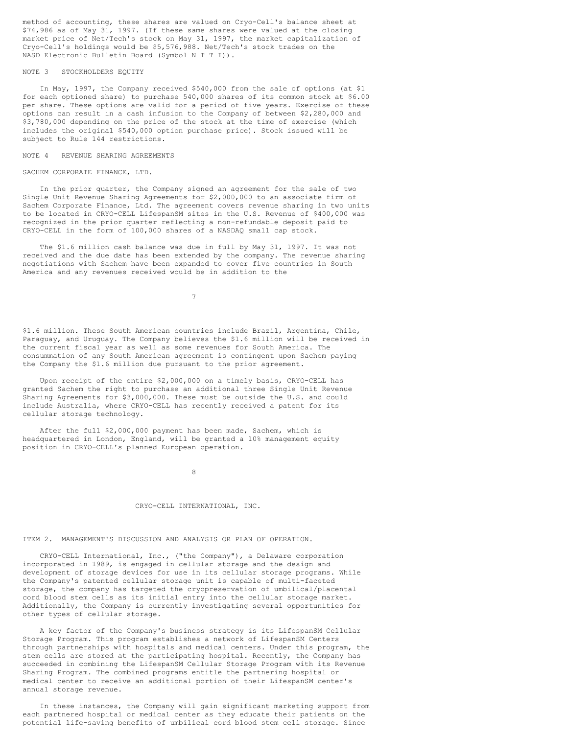method of accounting, these shares are valued on Cryo-Cell's balance sheet at \$74,986 as of May 31, 1997. (If these same shares were valued at the closing market price of Net/Tech's stock on May 31, 1997, the market capitalization of Cryo-Cell's holdings would be \$5,576,988. Net/Tech's stock trades on the NASD Electronic Bulletin Board (Symbol N T T I)).

## NOTE 3 STOCKHOLDERS EQUITY

In May, 1997, the Company received \$540,000 from the sale of options (at \$1 for each optioned share) to purchase 540,000 shares of its common stock at \$6.00 per share. These options are valid for a period of five years. Exercise of these options can result in a cash infusion to the Company of between \$2,280,000 and \$3,780,000 depending on the price of the stock at the time of exercise (which includes the original \$540,000 option purchase price). Stock issued will be subject to Rule 144 restrictions.

NOTE 4 REVENUE SHARING AGREEMENTS

SACHEM CORPORATE FINANCE, LTD.

In the prior quarter, the Company signed an agreement for the sale of two Single Unit Revenue Sharing Agreements for \$2,000,000 to an associate firm of Sachem Corporate Finance, Ltd. The agreement covers revenue sharing in two units to be located in CRYO-CELL LifespanSM sites in the U.S. Revenue of \$400,000 was recognized in the prior quarter reflecting a non-refundable deposit paid to CRYO-CELL in the form of 100,000 shares of a NASDAQ small cap stock.

The \$1.6 million cash balance was due in full by May 31, 1997. It was not received and the due date has been extended by the company. The revenue sharing negotiations with Sachem have been expanded to cover five countries in South America and any revenues received would be in addition to the

7

\$1.6 million. These South American countries include Brazil, Argentina, Chile, Paraguay, and Uruguay. The Company believes the \$1.6 million will be received in the current fiscal year as well as some revenues for South America. The consummation of any South American agreement is contingent upon Sachem paying the Company the \$1.6 million due pursuant to the prior agreement.

Upon receipt of the entire \$2,000,000 on a timely basis, CRYO-CELL has granted Sachem the right to purchase an additional three Single Unit Revenue Sharing Agreements for \$3,000,000. These must be outside the U.S. and could include Australia, where CRYO-CELL has recently received a patent for its cellular storage technology.

After the full \$2,000,000 payment has been made, Sachem, which is headquartered in London, England, will be granted a 10% management equity position in CRYO-CELL's planned European operation.

8

#### CRYO-CELL INTERNATIONAL, INC.

ITEM 2. MANAGEMENT'S DISCUSSION AND ANALYSIS OR PLAN OF OPERATION.

CRYO-CELL International, Inc., ("the Company"), a Delaware corporation incorporated in 1989, is engaged in cellular storage and the design and development of storage devices for use in its cellular storage programs. While the Company's patented cellular storage unit is capable of multi-faceted storage, the company has targeted the cryopreservation of umbilical/placental cord blood stem cells as its initial entry into the cellular storage market. Additionally, the Company is currently investigating several opportunities for other types of cellular storage.

A key factor of the Company's business strategy is its LifespanSM Cellular Storage Program. This program establishes a network of LifespanSM Centers through partnerships with hospitals and medical centers. Under this program, the stem cells are stored at the participating hospital. Recently, the Company has succeeded in combining the LifespanSM Cellular Storage Program with its Revenue Sharing Program. The combined programs entitle the partnering hospital or medical center to receive an additional portion of their LifespanSM center's annual storage revenue.

In these instances, the Company will gain significant marketing support from each partnered hospital or medical center as they educate their patients on the potential life-saving benefits of umbilical cord blood stem cell storage. Since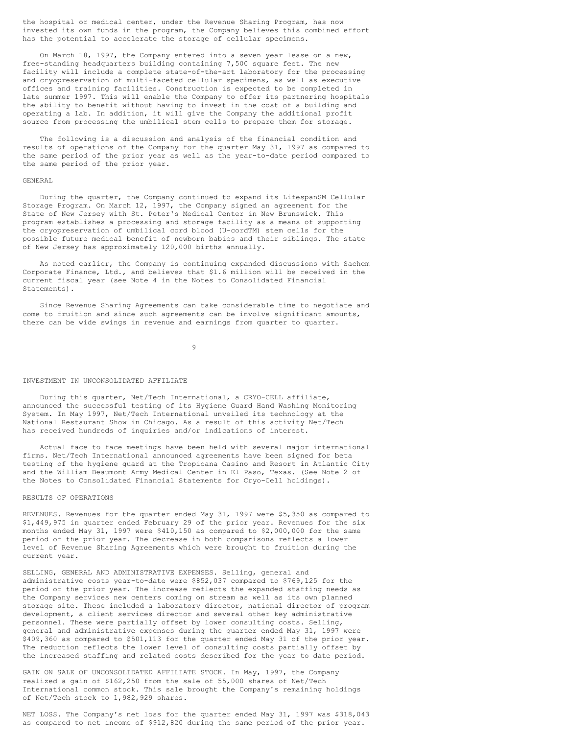the hospital or medical center, under the Revenue Sharing Program, has now invested its own funds in the program, the Company believes this combined effort has the potential to accelerate the storage of cellular specimens.

On March 18, 1997, the Company entered into a seven year lease on a new, free-standing headquarters building containing 7,500 square feet. The new facility will include a complete state-of-the-art laboratory for the processing and cryopreservation of multi-faceted cellular specimens, as well as executive offices and training facilities. Construction is expected to be completed in late summer 1997. This will enable the Company to offer its partnering hospitals the ability to benefit without having to invest in the cost of a building and operating a lab. In addition, it will give the Company the additional profit source from processing the umbilical stem cells to prepare them for storage.

The following is a discussion and analysis of the financial condition and results of operations of the Company for the quarter May 31, 1997 as compared to the same period of the prior year as well as the year-to-date period compared to the same period of the prior year.

#### GENERAL

During the quarter, the Company continued to expand its LifespanSM Cellular Storage Program. On March 12, 1997, the Company signed an agreement for the State of New Jersey with St. Peter's Medical Center in New Brunswick. This program establishes a processing and storage facility as a means of supporting the cryopreservation of umbilical cord blood (U-cordTM) stem cells for the possible future medical benefit of newborn babies and their siblings. The state of New Jersey has approximately 120,000 births annually.

As noted earlier, the Company is continuing expanded discussions with Sachem Corporate Finance, Ltd., and believes that \$1.6 million will be received in the current fiscal year (see Note 4 in the Notes to Consolidated Financial Statements).

Since Revenue Sharing Agreements can take considerable time to negotiate and come to fruition and since such agreements can be involve significant amounts, there can be wide swings in revenue and earnings from quarter to quarter.

9

#### INVESTMENT IN UNCONSOLIDATED AFFILIATE

During this quarter, Net/Tech International, a CRYO-CELL affiliate, announced the successful testing of its Hygiene Guard Hand Washing Monitoring System. In May 1997, Net/Tech International unveiled its technology at the National Restaurant Show in Chicago. As a result of this activity Net/Tech has received hundreds of inquiries and/or indications of interest.

Actual face to face meetings have been held with several major international firms. Net/Tech International announced agreements have been signed for beta testing of the hygiene guard at the Tropicana Casino and Resort in Atlantic City and the William Beaumont Army Medical Center in El Paso, Texas. (See Note 2 of the Notes to Consolidated Financial Statements for Cryo-Cell holdings).

# RESULTS OF OPERATIONS

REVENUES. Revenues for the quarter ended May 31, 1997 were \$5,350 as compared to \$1,449,975 in quarter ended February 29 of the prior year. Revenues for the six months ended May 31, 1997 were \$410,150 as compared to \$2,000,000 for the same period of the prior year. The decrease in both comparisons reflects a lower level of Revenue Sharing Agreements which were brought to fruition during the current year.

SELLING, GENERAL AND ADMINISTRATIVE EXPENSES. Selling, general and administrative costs year-to-date were \$852,037 compared to \$769,125 for the period of the prior year. The increase reflects the expanded staffing needs as the Company services new centers coming on stream as well as its own planned storage site. These included a laboratory director, national director of program development, a client services director and several other key administrative personnel. These were partially offset by lower consulting costs. Selling, general and administrative expenses during the quarter ended May 31, 1997 were \$409,360 as compared to \$501,113 for the quarter ended May 31 of the prior year. The reduction reflects the lower level of consulting costs partially offset by the increased staffing and related costs described for the year to date period.

GAIN ON SALE OF UNCONSOLIDATED AFFILIATE STOCK. In May, 1997, the Company realized a gain of \$162,250 from the sale of 55,000 shares of Net/Tech International common stock. This sale brought the Company's remaining holdings of Net/Tech stock to 1,982,929 shares.

NET LOSS. The Company's net loss for the quarter ended May 31, 1997 was \$318,043 as compared to net income of \$912,820 during the same period of the prior year.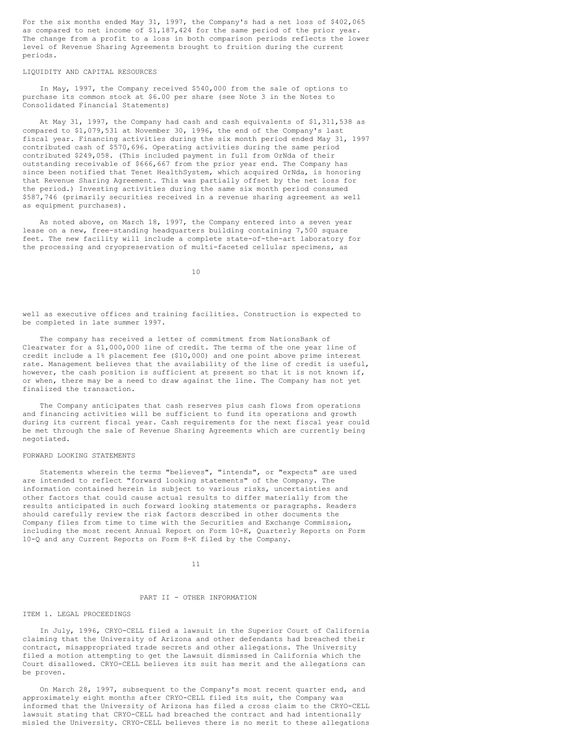For the six months ended May 31, 1997, the Company's had a net loss of \$402,065 as compared to net income of \$1,187,424 for the same period of the prior year. The change from a profit to a loss in both comparison periods reflects the lower level of Revenue Sharing Agreements brought to fruition during the current periods.

# LIQUIDITY AND CAPITAL RESOURCES

In May, 1997, the Company received \$540,000 from the sale of options to purchase its common stock at \$6.00 per share (see Note 3 in the Notes to Consolidated Financial Statements)

At May 31, 1997, the Company had cash and cash equivalents of \$1,311,538 as compared to \$1,079,531 at November 30, 1996, the end of the Company's last fiscal year. Financing activities during the six month period ended May 31, 1997 contributed cash of \$570,696. Operating activities during the same period contributed \$249,058. (This included payment in full from OrNda of their outstanding receivable of \$666,667 from the prior year end. The Company has since been notified that Tenet HealthSystem, which acquired OrNda, is honoring that Revenue Sharing Agreement. This was partially offset by the net loss for the period.) Investing activities during the same six month period consumed \$587,746 (primarily securities received in a revenue sharing agreement as well as equipment purchases).

As noted above, on March 18, 1997, the Company entered into a seven year lease on a new, free-standing headquarters building containing 7,500 square feet. The new facility will include a complete state-of-the-art laboratory for the processing and cryopreservation of multi-faceted cellular specimens, as

10

well as executive offices and training facilities. Construction is expected to be completed in late summer 1997.

The company has received a letter of commitment from NationsBank of Clearwater for a \$1,000,000 line of credit. The terms of the one year line of credit include a 1% placement fee (\$10,000) and one point above prime interest rate. Management believes that the availability of the line of credit is useful, however, the cash position is sufficient at present so that it is not known if, or when, there may be a need to draw against the line. The Company has not yet finalized the transaction.

The Company anticipates that cash reserves plus cash flows from operations and financing activities will be sufficient to fund its operations and growth during its current fiscal year. Cash requirements for the next fiscal year could be met through the sale of Revenue Sharing Agreements which are currently being negotiated.

## FORWARD LOOKING STATEMENTS

Statements wherein the terms "believes", "intends", or "expects" are used are intended to reflect "forward looking statements" of the Company. The information contained herein is subject to various risks, uncertainties and other factors that could cause actual results to differ materially from the results anticipated in such forward looking statements or paragraphs. Readers should carefully review the risk factors described in other documents the Company files from time to time with the Securities and Exchange Commission, including the most recent Annual Report on Form 10-K, Quarterly Reports on Form 10-Q and any Current Reports on Form 8-K filed by the Company.

11

# PART II - OTHER INFORMATION

#### ITEM 1. LEGAL PROCEEDINGS

In July, 1996, CRYO-CELL filed a lawsuit in the Superior Court of California claiming that the University of Arizona and other defendants had breached their contract, misappropriated trade secrets and other allegations. The University filed a motion attempting to get the Lawsuit dismissed in California which the Court disallowed. CRYO-CELL believes its suit has merit and the allegations can be proven.

On March 28, 1997, subsequent to the Company's most recent quarter end, and approximately eight months after CRYO-CELL filed its suit, the Company was informed that the University of Arizona has filed a cross claim to the CRYO-CELL lawsuit stating that CRYO-CELL had breached the contract and had intentionally misled the University. CRYO-CELL believes there is no merit to these allegations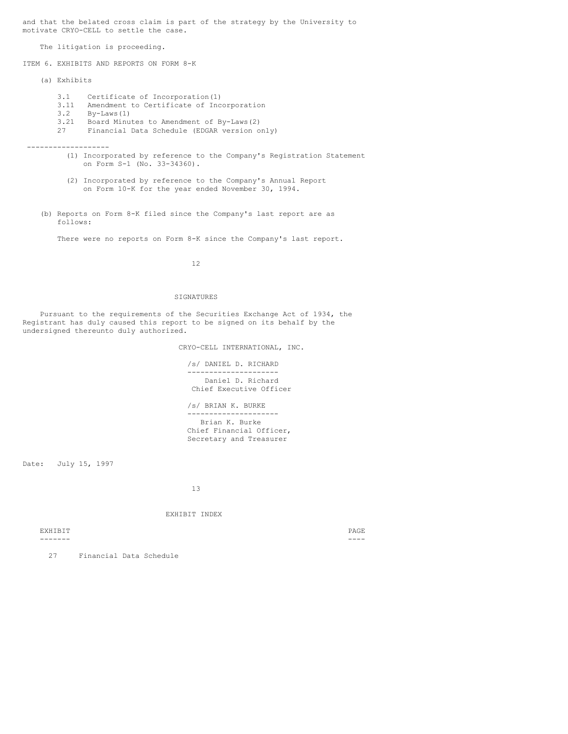and that the belated cross claim is part of the strategy by the University to motivate CRYO-CELL to settle the case.

The litigation is proceeding.

ITEM 6. EXHIBITS AND REPORTS ON FORM 8-K

- (a) Exhibits
	- 3.1 Certificate of Incorporation(1)
	- 3.11 Amendment to Certificate of Incorporation
	- 3.2 By-Laws(1)<br>3.21 Board Minu
	- 3.21 Board Minutes to Amendment of By-Laws(2)
	- Financial Data Schedule (EDGAR version only)

-------------------

- (1) Incorporated by reference to the Company's Registration Statement on Form S-1 (No. 33-34360).
- (2) Incorporated by reference to the Company's Annual Report on Form 10-K for the year ended November 30, 1994.
- (b) Reports on Form 8-K filed since the Company's last report are as follows:

There were no reports on Form 8-K since the Company's last report.

12

### SIGNATURES

Pursuant to the requirements of the Securities Exchange Act of 1934, the Registrant has duly caused this report to be signed on its behalf by the undersigned thereunto duly authorized.

CRYO-CELL INTERNATIONAL, INC.

/s/ DANIEL D. RICHARD --------------------- Daniel D. Richard Chief Executive Officer

/s/ BRIAN K. BURKE --------------------- Brian K. Burke

Chief Financial Officer, Secretary and Treasurer

Date: July 15, 1997

13

# EXHIBIT INDEX

EXHIBIT PAGE

------- ----

27 Financial Data Schedule